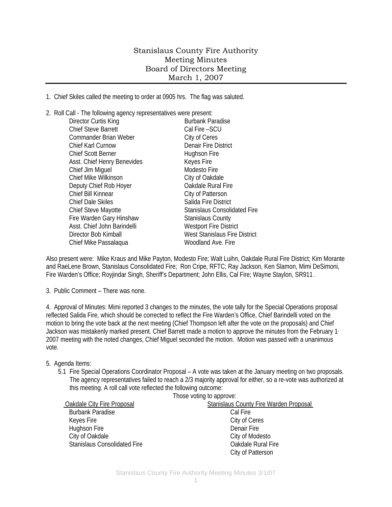## Stanislaus County Fire Authority Meeting Minutes Board of Directors Meeting March 1, 2007

1. Chief Skiles called the meeting to order at 0905 hrs. The flag was saluted.

2. Roll Call - The following agency representatives were present: Director Curtis King **Burbank Paradise** Chief Steve Barrett Cal Fire – SCU Commander Brian Weber City of Ceres Chief Karl Curnow Denair Fire District Chief Scott Berner **Hughson Fire** Asst. Chief Henry Benevides Keyes Fire Chief Jim Miguel **Modesto Fire** Modesto Fire Chief Mike Wilkinson Chief Mike Wilkinson Deputy Chief Rob Hoyer **Channel Controller Chief Rural Fire** Chief Bill Kinnear Chief Bill Kinnear Chief Dale Skiles Salida Fire District Chief Steve Mayotte Stanislaus Consolidated Fire Fire Warden Gary Hinshaw Stanislaus County Asst. Chief John Barindelli Westport Fire District Director Bob Kimball West Stanislaus Fire District Chief Mike Passalaqua Woodland Ave. Fire

Also present were: Mike Kraus and Mike Payton, Modesto Fire; Walt Luihn, Oakdale Rural Fire District; Kim Morante and RaeLene Brown, Stanislaus Consolidated Fire; Ron Cripe, RFTC; Ray Jackson, Ken Slamon, Mimi DeSimoni, Fire Warden's Office; Royjindar Singh, Sheriff's Department; John Ellis, Cal Fire; Wayne Staylon, SR911.

3. Public Comment – There was none.

4. Approval of Minutes: Mimi reported 3 changes to the minutes, the vote tally for the Special Operations proposal reflected Salida Fire, which should be corrected to reflect the Fire Warden's Office, Chief Barindelli voted on the motion to bring the vote back at the next meeting (Chief Thompson left after the vote on the proposals) and Chief Jackson was mistakenly marked present. Chief Barrett made a motion to approve the minutes from the February 1, 2007 meeting with the noted changes, Chief Miguel seconded the motion. Motion was passed with a unanimous vote.

## 5. Agenda Items:

5.1 Fire Special Operations Coordinator Proposal – A vote was taken at the January meeting on two proposals. The agency representatives failed to reach a 2/3 majority approval for either, so a re-vote was authorized at this meeting. A roll call vote reflected the following outcome:  $Thess$  voting to

|                                     | THUSE VUILIY TO APPLOVE.                      |
|-------------------------------------|-----------------------------------------------|
| Oakdale City Fire Proposal          | <b>Stanislaus County Fire Warden Proposal</b> |
| <b>Burbank Paradise</b>             | Cal Fire                                      |
| Keyes Fire                          | City of Ceres                                 |
| Hughson Fire                        | Denair Fire                                   |
| City of Oakdale                     | City of Modesto                               |
| <b>Stanislaus Consolidated Fire</b> | Oakdale Rural Fire                            |
|                                     | City of Patterson                             |
|                                     |                                               |

Stanislaus County Fire Authority Meeting Minutes 3/1/07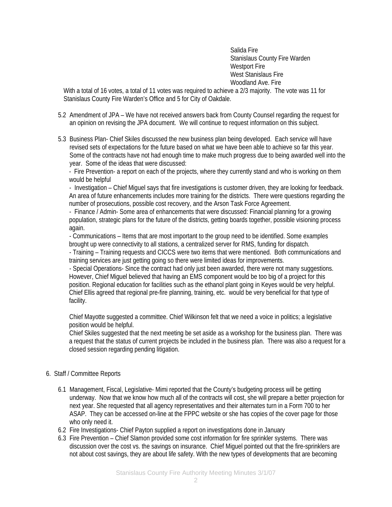Salida Fire Stanislaus County Fire Warden Westport Fire West Stanislaus Fire Woodland Ave. Fire

With a total of 16 votes, a total of 11 votes was required to achieve a 2/3 majority. The vote was 11 for Stanislaus County Fire Warden's Office and 5 for City of Oakdale.

- 5.2 Amendment of JPA We have not received answers back from County Counsel regarding the request for an opinion on revising the JPA document. We will continue to request information on this subject.
- 5.3 Business Plan- Chief Skiles discussed the new business plan being developed. Each service will have revised sets of expectations for the future based on what we have been able to achieve so far this year. Some of the contracts have not had enough time to make much progress due to being awarded well into the year. Some of the ideas that were discussed:

- Fire Prevention- a report on each of the projects, where they currently stand and who is working on them would be helpful

- Investigation – Chief Miguel says that fire investigations is customer driven, they are looking for feedback. An area of future enhancements includes more training for the districts. There were questions regarding the number of prosecutions, possible cost recovery, and the Arson Task Force Agreement.

- Finance / Admin- Some area of enhancements that were discussed: Financial planning for a growing population, strategic plans for the future of the districts, getting boards together, possible visioning process again.

- Communications – Items that are most important to the group need to be identified. Some examples brought up were connectivity to all stations, a centralized server for RMS, funding for dispatch.

- Training – Training requests and CICCS were two items that were mentioned. Both communications and training services are just getting going so there were limited ideas for improvements.

- Special Operations- Since the contract had only just been awarded, there were not many suggestions. However, Chief Miguel believed that having an EMS component would be too big of a project for this position. Regional education for facilities such as the ethanol plant going in Keyes would be very helpful. Chief Ellis agreed that regional pre-fire planning, training, etc. would be very beneficial for that type of facility.

Chief Mayotte suggested a committee. Chief Wilkinson felt that we need a voice in politics; a legislative position would be helpful.

Chief Skiles suggested that the next meeting be set aside as a workshop for the business plan. There was a request that the status of current projects be included in the business plan. There was also a request for a closed session regarding pending litigation.

- 6. Staff / Committee Reports
	- 6.1 Management, Fiscal, Legislative- Mimi reported that the County's budgeting process will be getting underway. Now that we know how much all of the contracts will cost, she will prepare a better projection for next year. She requested that all agency representatives and their alternates turn in a Form 700 to her ASAP. They can be accessed on-line at the FPPC website or she has copies of the cover page for those who only need it.
	- 6.2 Fire Investigations- Chief Payton supplied a report on investigations done in January
	- 6.3 Fire Prevention Chief Slamon provided some cost information for fire sprinkler systems. There was discussion over the cost vs. the savings on insurance. Chief Miguel pointed out that the fire-sprinklers are not about cost savings, they are about life safety. With the new types of developments that are becoming